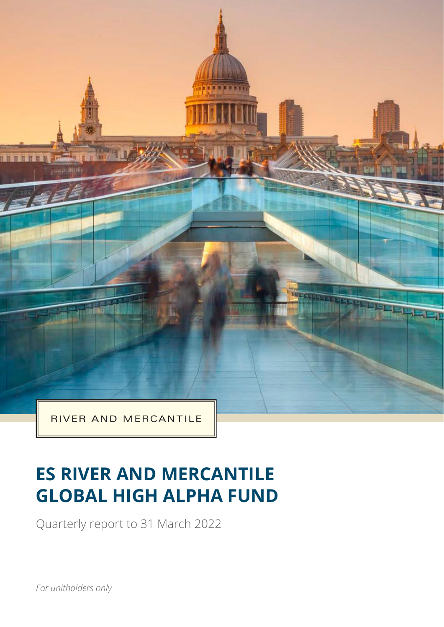

# **ES RIVER AND MERCANTILE GLOBAL HIGH ALPHA FUND**

Quarterly report to 31 March 2022

*For unitholders only*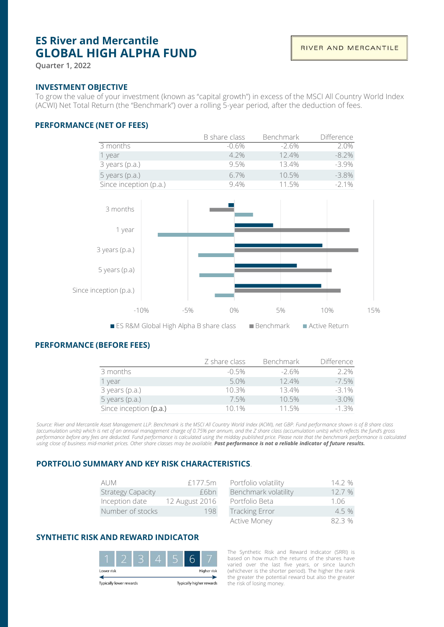# **ES River and Mercantile GLOBAL HIGH ALPHA FUND**

**Quarter 1, 2022**

## **INVESTMENT OBJECTIVE**

To grow the value of your investment (known as "capital growth") in excess of the MSCI All Country World Index (ACWI) Net Total Return (the "Benchmark") over a rolling 5-year period, after the deduction of fees.

# **PERFORMANCE (NET OF FEES)**



#### **PERFORMANCE (BEFORE FEES)**

|                        | Z share class | <b>Benchmark</b> | Difference |
|------------------------|---------------|------------------|------------|
| 3 months               | $-0.5\%$      | $-2.6\%$         | 2.2%       |
| 1 year                 | 5.0%          | 12.4%            | $-7.5\%$   |
| 3 years (p.a.)         | 10.3%         | 134%             | $-31%$     |
| 5 years (p.a.)         | 75%           | 10.5%            | $-3.0\%$   |
| Since inception (p.a.) | $101\%$       | 11 5%            | $-1.3\%$   |

*Source: River and Mercantile Asset Management LLP. Benchmark is the MSCI All Country World Index (ACWI), net GBP. Fund performance shown is of B share class (accumulation units) which is net of an annual management charge of 0.75% per annum, and the Z share class (accumulation units) which reflects the fund's gross performance before any fees are deducted. Fund performance is calculated using the midday published price. Please note that the benchmark performance is calculated using close of business mid-market prices. Other share classes may be available. Past performance is not a reliable indicator of future results.*

## **PORTFOLIO SUMMARY AND KEY RISK CHARACTERISTICS**.

| aum                      | £177.5m        | Portfolio volatility  | 14.2 |
|--------------------------|----------------|-----------------------|------|
| <b>Strategy Capacity</b> | £6bn           | Benchmark volatility  | 12.7 |
| Inception date           | 12 August 2016 | Portfolio Beta        | 1.06 |
| Number of stocks         | 198            | <b>Tracking Error</b> | 4.5  |

| aum                      | £177.5m        | Portfolio volatility  | 14.2%   |
|--------------------------|----------------|-----------------------|---------|
| <b>Strategy Capacity</b> | £6bn           | Benchmark volatility  | $127\%$ |
| Inception date           | 12 August 2016 | Portfolio Beta        | 106     |
| Number of stocks         | 198            | <b>Tracking Error</b> | $4.5\%$ |
|                          |                | <b>Active Money</b>   | 823%    |

#### **SYNTHETIC RISK AND REWARD INDICATOR**

| Lower risk              |  |  | Higher risk              |
|-------------------------|--|--|--------------------------|
|                         |  |  |                          |
| Typically lower rewards |  |  | Typically higher rewards |

The Synthetic Risk and Reward Indicator (SRRI) is based on how much the returns of the shares have varied over the last five years, or since launch (whichever is the shorter period). The higher the rank the greater the potential reward but also the greater the risk of losing money.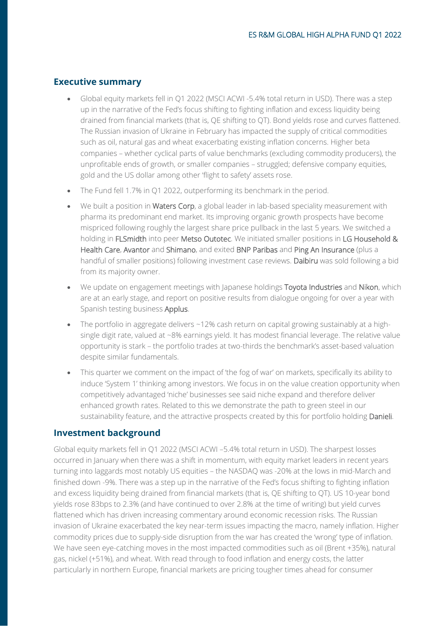# **Executive summary**

- Global equity markets fell in Q1 2022 (MSCI ACWI -5.4% total return in USD). There was a step up in the narrative of the Fed's focus shifting to fighting inflation and excess liquidity being drained from financial markets (that is, QE shifting to QT). Bond yields rose and curves flattened. The Russian invasion of Ukraine in February has impacted the supply of critical commodities such as oil, natural gas and wheat exacerbating existing inflation concerns. Higher beta companies – whether cyclical parts of value benchmarks (excluding commodity producers), the unprofitable ends of growth, or smaller companies – struggled; defensive company equities, gold and the US dollar among other 'flight to safety' assets rose.
- The Fund fell 1.7% in O1 2022, outperforming its benchmark in the period.
- We built a position in Waters Corp, a global leader in lab-based speciality measurement with pharma its predominant end market. Its improving organic growth prospects have become mispriced following roughly the largest share price pullback in the last 5 years. We switched a holding in FLSmidth into peer Metso Outotec. We initiated smaller positions in LG Household & Health Care, Avantor and Shimano, and exited BNP Paribas and Ping An Insurance (plus a handful of smaller positions) following investment case reviews. Daibiru was sold following a bid from its majority owner.
- We update on engagement meetings with Japanese holdings Toyota Industries and Nikon, which are at an early stage, and report on positive results from dialogue ongoing for over a year with Spanish testing business Applus.
- The portfolio in aggregate delivers ~12% cash return on capital growing sustainably at a highsingle digit rate, valued at ~8% earnings yield. It has modest financial leverage. The relative value opportunity is stark – the portfolio trades at two-thirds the benchmark's asset-based valuation despite similar fundamentals.
- This quarter we comment on the impact of 'the fog of war' on markets, specifically its ability to induce 'System 1' thinking among investors. We focus in on the value creation opportunity when competitively advantaged 'niche' businesses see said niche expand and therefore deliver enhanced growth rates. Related to this we demonstrate the path to green steel in our sustainability feature, and the attractive prospects created by this for portfolio holding Danieli.

# **Investment background**

Global equity markets fell in Q1 2022 (MSCI ACWI –5.4% total return in USD). The sharpest losses occurred in January when there was a shift in momentum, with equity market leaders in recent years turning into laggards most notably US equities – the NASDAQ was -20% at the lows in mid-March and finished down -9%. There was a step up in the narrative of the Fed's focus shifting to fighting inflation and excess liquidity being drained from financial markets (that is, QE shifting to QT). US 10-year bond yields rose 83bps to 2.3% (and have continued to over 2.8% at the time of writing) but yield curves flattened which has driven increasing commentary around economic recession risks. The Russian invasion of Ukraine exacerbated the key near-term issues impacting the macro, namely inflation. Higher commodity prices due to supply-side disruption from the war has created the 'wrong' type of inflation. We have seen eye-catching moves in the most impacted commodities such as oil (Brent +35%), natural gas, nickel (+51%), and wheat. With read through to food inflation and energy costs, the latter particularly in northern Europe, financial markets are pricing tougher times ahead for consumer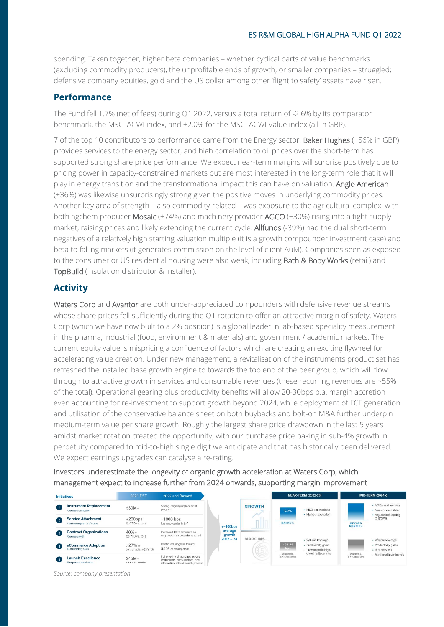spending. Taken together, higher beta companies – whether cyclical parts of value benchmarks (excluding commodity producers), the unprofitable ends of growth, or smaller companies – struggled; defensive company equities, gold and the US dollar among other 'flight to safety' assets have risen.

# **Performance**

The Fund fell 1.7% (net of fees) during Q1 2022, versus a total return of -2.6% by its comparator benchmark, the MSCI ACWI index, and +2.0% for the MSCI ACWI Value index (all in GBP).

7 of the top 10 contributors to performance came from the Energy sector. Baker Hughes (+56% in GBP) provides services to the energy sector, and high correlation to oil prices over the short-term has supported strong share price performance. We expect near-term margins will surprise positively due to pricing power in capacity-constrained markets but are most interested in the long-term role that it will play in energy transition and the transformational impact this can have on valuation. Anglo American (+36%) was likewise unsurprisingly strong given the positive moves in underlying commodity prices. Another key area of strength – also commodity-related – was exposure to the agricultural complex, with both agchem producer Mosaic (+74%) and machinery provider AGCO (+30%) rising into a tight supply market, raising prices and likely extending the current cycle. Allfunds (-39%) had the dual short-term negatives of a relatively high starting valuation multiple (it is a growth compounder investment case) and beta to falling markets (it generates commission on the level of client AuM). Companies seen as exposed to the consumer or US residential housing were also weak, including Bath & Body Works (retail) and TopBuild (insulation distributor & installer).

# **Activity**

Waters Corp and Avantor are both under-appreciated compounders with defensive revenue streams whose share prices fell sufficiently during the Q1 rotation to offer an attractive margin of safety. Waters Corp (which we have now built to a 2% position) is a global leader in lab-based speciality measurement in the pharma, industrial (food, environment & materials) and government / academic markets. The current equity value is mispricing a confluence of factors which are creating an exciting flywheel for accelerating value creation. Under new management, a revitalisation of the instruments product set has refreshed the installed base growth engine to towards the top end of the peer group, which will flow through to attractive growth in services and consumable revenues (these recurring revenues are ~55% of the total). Operational gearing plus productivity benefits will allow 20-30bps p.a. margin accretion even accounting for re-investment to support growth beyond 2024, while deployment of FCF generation and utilisation of the conservative balance sheet on both buybacks and bolt-on M&A further underpin medium-term value per share growth. Roughly the largest share price drawdown in the last 5 years amidst market rotation created the opportunity, with our purchase price baking in sub-4% growth in perpetuity compared to mid-to-high single digit we anticipate and that has historically been delivered. We expect earnings upgrades can catalyse a re-rating.

Investors underestimate the longevity of organic growth acceleration at Waters Corp, which management expect to increase further from 2024 onwards, supporting margin improvement



*Source: company presentation*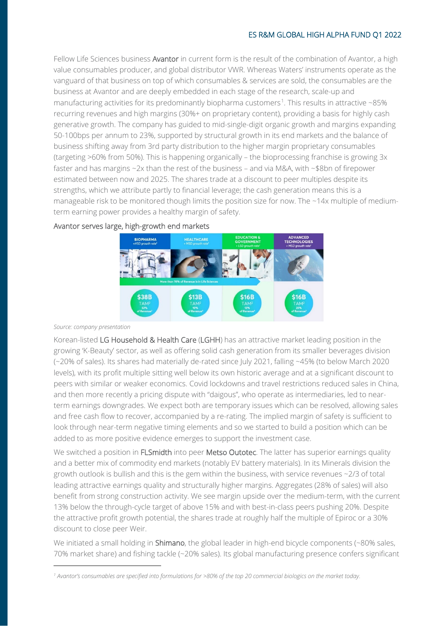# ES R&M GLOBAL HIGH ALPHA FUND Q1 2022

Fellow Life Sciences business **Avantor** in current form is the result of the combination of Avantor, a high value consumables producer, and global distributor VWR. Whereas Waters' instruments operate as the vanguard of that business on top of which consumables & services are sold, the consumables are the business at Avantor and are deeply embedded in each stage of the research, scale-up and manufacturing activities for its predominantly biopharma customers<sup>[1](#page-4-0)</sup>. This results in attractive ~85% recurring revenues and high margins (30%+ on proprietary content), providing a basis for highly cash generative growth. The company has guided to mid-single-digit organic growth and margins expanding 50-100bps per annum to 23%, supported by structural growth in its end markets and the balance of business shifting away from 3rd party distribution to the higher margin proprietary consumables (targeting >60% from 50%). This is happening organically – the bioprocessing franchise is growing 3x faster and has margins  $\sim$ 2x than the rest of the business – and via M&A, with  $\sim$ \$8bn of firepower estimated between now and 2025. The shares trade at a discount to peer multiples despite its strengths, which we attribute partly to financial leverage; the cash generation means this is a manageable risk to be monitored though limits the position size for now. The ~14x multiple of mediumterm earning power provides a healthy margin of safety.



## Avantor serves large, high-growth end markets

#### *Source: company presentation*

Korean-listed LG Household & Health Care (LGHH) has an attractive market leading position in the growing 'K-Beauty' sector, as well as offering solid cash generation from its smaller beverages division (~20% of sales). Its shares had materially de-rated since July 2021, falling ~45% (to below March 2020 levels), with its profit multiple sitting well below its own historic average and at a significant discount to peers with similar or weaker economics. Covid lockdowns and travel restrictions reduced sales in China, and then more recently a pricing dispute with "daigous", who operate as intermediaries, led to nearterm earnings downgrades. We expect both are temporary issues which can be resolved, allowing sales and free cash flow to recover, accompanied by a re-rating. The implied margin of safety is sufficient to look through near-term negative timing elements and so we started to build a position which can be added to as more positive evidence emerges to support the investment case.

We switched a position in FLSmidth into peer Metso Outotec. The latter has superior earnings quality and a better mix of commodity end markets (notably EV battery materials). In its Minerals division the growth outlook is bullish and this is the gem within the business, with service revenues ~2/3 of total leading attractive earnings quality and structurally higher margins. Aggregates (28% of sales) will also benefit from strong construction activity. We see margin upside over the medium-term, with the current 13% below the through-cycle target of above 15% and with best-in-class peers pushing 20%. Despite the attractive profit growth potential, the shares trade at roughly half the multiple of Epiroc or a 30% discount to close peer Weir.

We initiated a small holding in Shimano, the global leader in high-end bicycle components (~80% sales, 70% market share) and fishing tackle (~20% sales). Its global manufacturing presence confers significant

<span id="page-4-0"></span>*<sup>1</sup> Avantor's consumables are specified into formulations for >80% of the top 20 commercial biologics on the market today.*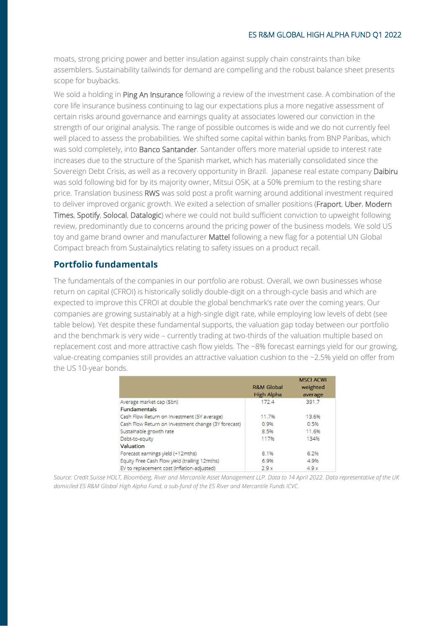moats, strong pricing power and better insulation against supply chain constraints than bike assemblers. Sustainability tailwinds for demand are compelling and the robust balance sheet presents scope for buybacks.

We sold a holding in **Ping An Insurance** following a review of the investment case. A combination of the core life insurance business continuing to lag our expectations plus a more negative assessment of certain risks around governance and earnings quality at associates lowered our conviction in the strength of our original analysis. The range of possible outcomes is wide and we do not currently feel well placed to assess the probabilities. We shifted some capital within banks from BNP Paribas, which was sold completely, into Banco Santander. Santander offers more material upside to interest rate increases due to the structure of the Spanish market, which has materially consolidated since the Sovereign Debt Crisis, as well as a recovery opportunity in Brazil. Japanese real estate company Daibiru was sold following bid for by its majority owner, Mitsui OSK, at a 50% premium to the resting share price. Translation business RWS was sold post a profit warning around additional investment required to deliver improved organic growth. We exited a selection of smaller positions (Fraport, Uber, Modern Times, Spotify, Solocal, Datalogic) where we could not build sufficient conviction to upweight following review, predominantly due to concerns around the pricing power of the business models. We sold US toy and game brand owner and manufacturer **Mattel** following a new flag for a potential UN Global Compact breach from Sustainalytics relating to safety issues on a product recall.

# **Portfolio fundamentals**

The fundamentals of the companies in our portfolio are robust. Overall, we own businesses whose return on capital (CFROI) is historically solidly double-digit on a through-cycle basis and which are expected to improve this CFROI at double the global benchmark's rate over the coming years. Our companies are growing sustainably at a high-single digit rate, while employing low levels of debt (see table below). Yet despite these fundamental supports, the valuation gap today between our portfolio and the benchmark is very wide – currently trading at two-thirds of the valuation multiple based on replacement cost and more attractive cash flow yields. The ~8% forecast earnings yield for our growing, value-creating companies still provides an attractive valuation cushion to the ~2.5% yield on offer from the US 10-year bonds.

|                                                     | <b>R&amp;M Global</b><br>High Alpha | <b>MSCI ACWI</b><br>weighted<br>average |
|-----------------------------------------------------|-------------------------------------|-----------------------------------------|
| Average market cap (\$bn)                           | 172.4                               | 391.7                                   |
| <b>Fundamentals</b>                                 |                                     |                                         |
| Cash Flow Return on Investment (5Y average)         | 11.7%                               | 13.6%                                   |
| Cash Flow Return on Investment change (3Y forecast) | 0.9%                                | 0.5%                                    |
| Sustainable growth rate                             | 8.5%                                | 11.6%                                   |
| Debt-to-equity                                      | 117%                                | 134%                                    |
| Valuation                                           |                                     |                                         |
| Forecast earnings yield (+12mths)                   | 8.1%                                | 6.2%                                    |
| Equity Free Cash Flow yield (trailing 12mths)       | 6.9%                                | 4.9%                                    |
| EV to replacement cost (inflation-adjusted)         | 2.9x                                | 4.9x                                    |

*Source: Credit Suisse HOLT, Bloomberg, River and Mercantile Asset Management LLP. Data to 14 April 2022. Data representative of the UK domiciled ES R&M Global High Alpha Fund, a sub-fund of the ES River and Mercantile Funds ICVC.*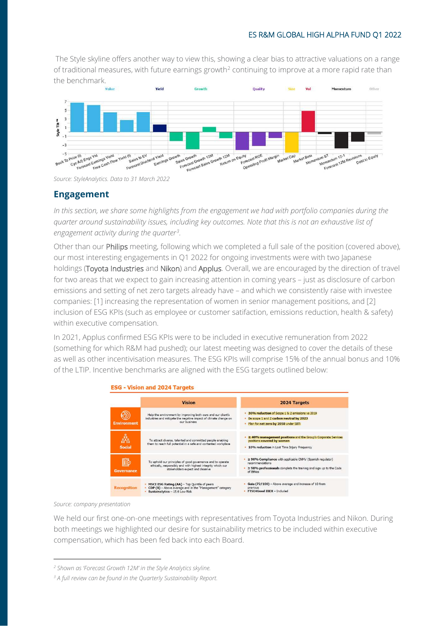The Style skyline offers another way to view this, showing a clear bias to attractive valuations on a range of traditional measures, with future earnings growth<sup>[2](#page-6-0)</sup> continuing to improve at a more rapid rate than the benchmark.



*Source: StyleAnalytics. Data to 31 March 2022*

# **Engagement**

*In this section, we share some highlights from the engagement we had with portfolio companies during the quarter around sustainability issues, including key outcomes. Note that this is not an exhaustive list of engagement activity during the quarter[3](#page-6-1) .* 

Other than our Philips meeting, following which we completed a full sale of the position (covered above), our most interesting engagements in Q1 2022 for ongoing investments were with two Japanese holdings (Toyota Industries and Nikon) and Applus. Overall, we are encouraged by the direction of travel for two areas that we expect to gain increasing attention in coming years – just as disclosure of carbon emissions and setting of net zero targets already have – and which we consistently raise with investee companies: [1] increasing the representation of women in senior management positions, and [2] inclusion of ESG KPIs (such as employee or customer satifaction, emissions reduction, health & safety) within executive compensation.

In 2021, Applus confirmed ESG KPIs were to be included in executive remuneration from 2022 (something for which R&M had pushed); our latest meeting was designed to cover the details of these as well as other incentivisation measures. The ESG KPIs will comprise 15% of the annual bonus and 10% of the LTIP. Incentive benchmarks are aligned with the ESG targets outlined below:



#### **ESG - Vision and 2024 Targets**

#### *Source: company presentation*

We held our first one-on-one meetings with representatives from Toyota Industries and Nikon. During both meetings we highlighted our desire for sustainability metrics to be included within executive compensation, which has been fed back into each Board.

<span id="page-6-0"></span>*<sup>2</sup> Shown as 'Forecast Growth 12M' in the Style Analytics skyline.*

<span id="page-6-1"></span>*<sup>3</sup> A full review can be found in the Quarterly Sustainability Report.*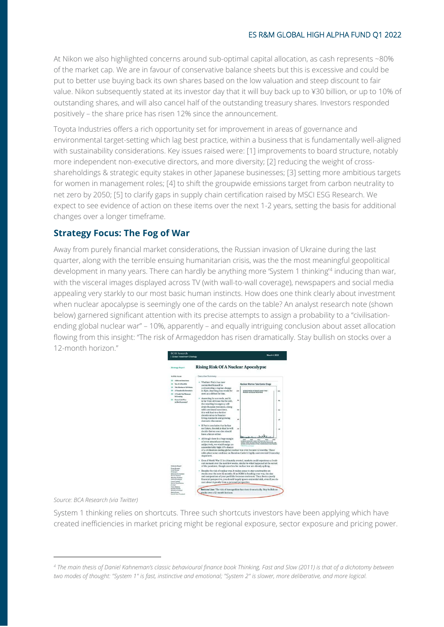# ES R&M GLOBAL HIGH ALPHA FUND Q1 2022

At Nikon we also highlighted concerns around sub-optimal capital allocation, as cash represents ~80% of the market cap. We are in favour of conservative balance sheets but this is excessive and could be put to better use buying back its own shares based on the low valuation and steep discount to fair value. Nikon subsequently stated at its investor day that it will buy back up to ¥30 billion, or up to 10% of outstanding shares, and will also cancel half of the outstanding treasury shares. Investors responded positively – the share price has risen 12% since the announcement.

Toyota Industries offers a rich opportunity set for improvement in areas of governance and environmental target-setting which lag best practice, within a business that is fundamentally well-aligned with sustainability considerations. Key issues raised were: [1] improvements to board structure, notably more independent non-executive directors, and more diversity; [2] reducing the weight of crossshareholdings & strategic equity stakes in other Japanese businesses; [3] setting more ambitious targets for women in management roles; [4] to shift the groupwide emissions target from carbon neutrality to net zero by 2050; [5] to clarify gaps in supply chain certification raised by MSCI ESG Research. We expect to see evidence of action on these items over the next 1-2 years, setting the basis for additional changes over a longer timeframe.

# **Strategy Focus: The Fog of War**

Away from purely financial market considerations, the Russian invasion of Ukraine during the last quarter, along with the terrible ensuing humanitarian crisis, was the the most meaningful geopolitical development in many years. There can hardly be anything more 'System 1 thinking'<sup>[4](#page-7-0)</sup> inducing than war, with the visceral images displayed across TV (with wall-to-wall coverage), newspapers and social media appealing very starkly to our most basic human instincts. How does one think clearly about investment when nuclear apocalypse is seemingly one of the cards on the table? An analyst research note (shown below) garnered significant attention with its precise attempts to assign a probability to a "civilisationending global nuclear war" – 10%, apparently – and equally intriguing conclusion about asset allocation flowing from this insight: "The risk of Armageddon has risen dramatically. Stay bullish on stocks over a 12-month horizon."



#### *Source: BCA Research (via Twitter)*

System 1 thinking relies on shortcuts. Three such shortcuts investors have been applying which have created inefficiencies in market pricing might be regional exposure, sector exposure and pricing power.

<span id="page-7-0"></span>*<sup>4</sup> The main thesis of Daniel Kahneman's classic behavioural finance book Thinking, Fast and Slow (2011) is that of a dichotomy between two modes of thought: "System 1" is fast, instinctive and emotional; "System 2" is slower, more deliberative, and more logical.*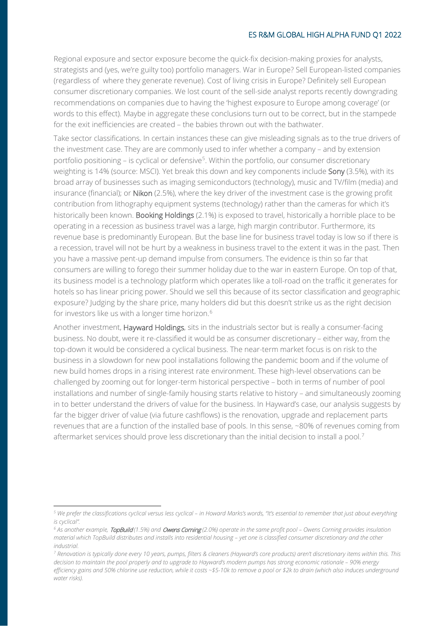# ES R&M GLOBAL HIGH ALPHA FUND Q1 2022

Regional exposure and sector exposure become the quick-fix decision-making proxies for analysts, strategists and (yes, we're guilty too) portfolio managers. War in Europe? Sell European-listed companies (regardless of where they generate revenue). Cost of living crisis in Europe? Definitely sell European consumer discretionary companies. We lost count of the sell-side analyst reports recently downgrading recommendations on companies due to having the 'highest exposure to Europe among coverage' (or words to this effect). Maybe in aggregate these conclusions turn out to be correct, but in the stampede for the exit inefficiencies are created – the babies thrown out with the bathwater.

Take sector classifications. In certain instances these can give misleading signals as to the true drivers of the investment case. They are are commonly used to infer whether a company – and by extension portfolio positioning - is cyclical or defensive<sup>[5](#page-8-0)</sup>. Within the portfolio, our consumer discretionary weighting is 14% (source: MSCI). Yet break this down and key components include Sony (3.5%), with its broad array of businesses such as imaging semiconductors (technology), music and TV/film (media) and insurance (financial); or Nikon (2.5%), where the key driver of the investment case is the growing profit contribution from lithography equipment systems (technology) rather than the cameras for which it's historically been known. Booking Holdings (2.1%) is exposed to travel, historically a horrible place to be operating in a recession as business travel was a large, high margin contributor. Furthermore, its revenue base is predominantly European. But the base line for business travel today is low so if there is a recession, travel will not be hurt by a weakness in business travel to the extent it was in the past. Then you have a massive pent-up demand impulse from consumers. The evidence is thin so far that consumers are willing to forego their summer holiday due to the war in eastern Europe. On top of that, its business model is a technology platform which operates like a toll-road on the traffic it generates for hotels so has linear pricing power. Should we sell this because of its sector classification and geographic exposure? Judging by the share price, many holders did but this doesn't strike us as the right decision for investors like us with a longer time horizon.<sup>[6](#page-8-1)</sup>

Another investment, Hayward Holdings, sits in the industrials sector but is really a consumer-facing business. No doubt, were it re-classified it would be as consumer discretionary – either way, from the top-down it would be considered a cyclical business. The near-term market focus is on risk to the business in a slowdown for new pool installations following the pandemic boom and if the volume of new build homes drops in a rising interest rate environment. These high-level observations can be challenged by zooming out for longer-term historical perspective – both in terms of number of pool installations and number of single-family housing starts relative to history – and simultaneously zooming in to better understand the drivers of value for the business. In Hayward's case, our analysis suggests by far the bigger driver of value (via future cashflows) is the renovation, upgrade and replacement parts revenues that are a function of the installed base of pools. In this sense, ~80% of revenues coming from aftermarket services should prove less discretionary than the initial decision to install a pool.<sup>[7](#page-8-2)</sup>

<span id="page-8-0"></span>*<sup>5</sup> We prefer the classifications cyclical versus less cyclical – in Howard Marks's words, "It's essential to remember that just about everything is cyclical".*

<span id="page-8-1"></span>*<sup>6</sup> As another example,* TopBuild *(1.5%) and* Owens Corning *(2.0%) operate in the same profit pool – Owens Corning provides insulation material which TopBuild distributes and installs into residential housing – yet one is classified consumer discretionary and the other industrial.*

<span id="page-8-2"></span>*<sup>7</sup> Renovation is typically done every 10 years, pumps, filters & cleaners (Hayward's core products) aren't discretionary items within this. This decision to maintain the pool properly and to upgrade to Hayward's modern pumps has strong economic rationale – 90% energy efficiency gains and 50% chlorine use reduction, while it costs ~\$5-10k to remove a pool or \$2k to drain (which also induces underground water risks).*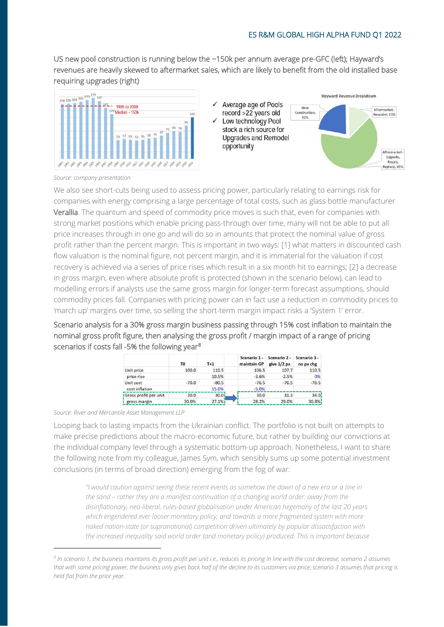US new pool construction is running below the ~150k per annum average pre-GFC (left); Hayward's revenues are heavily skewed to aftermarket sales, which are likely to benefit from the old installed base requiring upgrades (right)





#### *Source: company presentation*

We also see short-cuts being used to assess pricing power, particularly relating to earnings risk for companies with energy comprising a large percentage of total costs, such as glass bottle manufacturer Verallia. The quantum and speed of commodity price moves is such that, even for companies with strong market positions which enable pricing pass-through over time, many will not be able to put all price increases through in one go and will do so in amounts that protect the nominal value of gross profit rather than the percent margin. This is important in two ways: [1] what matters in discounted cash flow valuation is the nominal figure, not percent margin, and it is immaterial for the valuation if cost recovery is achieved via a series of price rises which result in a six month hit to earnings; [2] a decrease in gross margin, even where absolute profit is protected (shown in the scenario below), can lead to modelling errors if analysts use the same gross margin for longer-term forecast assumptions, should commodity prices fall. Companies with pricing power can in fact use a reduction in commodity prices to 'march up' margins over time, so selling the short-term margin impact risks a 'System 1' error.

# Scenario analysis for a 30% gross margin business passing through 15% cost inflation to maintain the nominal gross profit figure, then analysing the gross profit / margin impact of a range of pricing scenarios if costs fall -5% the following year<sup>[8](#page-9-0)</sup>

|                       | T <sub>0</sub> | $T+1$   | Scenario 1 -<br>maintain GP | Scenario 2 -<br>give $1/2$ px | Scenario 3 -<br>no px chg |
|-----------------------|----------------|---------|-----------------------------|-------------------------------|---------------------------|
| Unit price            | 100.0          | 110.5   | 106.5                       | 107.7                         | 110.5                     |
| price rise            |                | 10.5%   | $-3.6%$                     | $-2.5%$                       | 0%                        |
| Unit cost             | $-70.0$        | $-80.5$ | $-76.5$                     | $-76.5$                       | $-76.5$                   |
| cost inflation        |                | 15.0%   | $-5.0%$                     |                               |                           |
| Gross profit per unit | 30.0           | 30.01   | 30.0                        | 31.3                          | 34.0                      |
| gross margin          | 30.0%          | 27.1%   | 28.2%                       | 29.0%                         | 30.8%                     |

#### *Source: River and Mercantile Asset Management LLP*

Looping back to lasting impacts from the Ukrainian conflict. The portfolio is not built on attempts to make precise predictions about the macro-economic future, but rather by building our convictions at the individual company level through a systematic bottom-up approach. Nonetheless, I want to share the following note from my colleague, James Sym, which sensibly sums up some potential investment conclusions (in terms of broad direction) emerging from the fog of war:

*"I would caution against seeing these recent events as somehow the dawn of a new era or a line in the sand – rather they are a manifest continuation of a changing world order: away from the disinflationary, neo-liberal, rules-based globalisation under American hegemony of the last 20 years which engendered ever looser monetary policy, and towards a more fragmented system with more naked nation-state (or supranational) competition driven ultimately by popular dissatisfaction with the increased inequality said world order (and monetary policy) produced. This is important because* 

<span id="page-9-0"></span><sup>&</sup>lt;sup>8</sup> In scenario 1, the business maintains its gross profit per unit i.e., reduces its pricing in line with the cost decrease; scenario 2 assumes *that with some pricing power, the business only gives back half of the decline to its customers via price; scenario 3 assumes that pricing is held flat from the prior year.*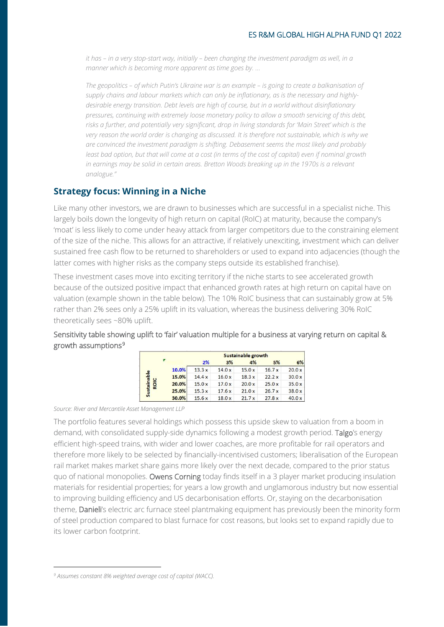*it has – in a very stop-start way, initially – been changing the investment paradigm as well, in a manner which is becoming more apparent as time goes by. …* 

*The geopolitics – of which Putin's Ukraine war is an example – is going to create a balkanisation of supply chains and labour markets which can only be inflationary, as is the necessary and highlydesirable energy transition. Debt levels are high of course, but in a world without disinflationary pressures, continuing with extremely loose monetary policy to allow a smooth servicing of this debt, risks a further, and potentially very significant, drop in living standards for 'Main Street' which is the very reason the world order is changing as discussed. It is therefore not sustainable, which is why we are convinced the investment paradigm is shifting. Debasement seems the most likely and probably least bad option, but that will come at a cost (in terms of the cost of capital) even if nominal growth* in earnings may be solid in certain areas. Bretton Woods breaking up in the 1970s is a relevant *analogue."* 

# **Strategy focus: Winning in a Niche**

Like many other investors, we are drawn to businesses which are successful in a specialist niche. This largely boils down the longevity of high return on capital (RoIC) at maturity, because the company's 'moat' is less likely to come under heavy attack from larger competitors due to the constraining element of the size of the niche. This allows for an attractive, if relatively unexciting, investment which can deliver sustained free cash flow to be returned to shareholders or used to expand into adjacencies (though the latter comes with higher risks as the company steps outside its established franchise).

These investment cases move into exciting territory if the niche starts to see accelerated growth because of the outsized positive impact that enhanced growth rates at high return on capital have on valuation (example shown in the table below). The 10% RoIC business that can sustainably grow at 5% rather than 2% sees only a 25% uplift in its valuation, whereas the business delivering 30% RoIC theoretically sees ~80% uplift.

# Sensitivity table showing uplift to 'fair' valuation multiple for a business at varying return on capital & growth assumptions [9](#page-10-0)

|      |       | Sustainable growth |       |       |       |        |
|------|-------|--------------------|-------|-------|-------|--------|
|      |       | 2%                 | 3%    | 4%    | 5%    | 6%     |
|      | 10.0% | 13.3x              | 14.0x | 15.0x | 16.7x | 20.0 x |
| able | 15.0% | 14.4x              | 16.0x | 18.3x | 22.2x | 30.0 x |
| ROIC | 20.0% | 15.0x              | 17.0x | 20.0x | 25.0x | 35.0x  |
| stal | 25.0% | 15.3x              | 17.6x | 21.0x | 26.7x | 38.0 x |
| 5u   | 30.0% | 15.6x              | 18.0x | 21.7x | 27.8x | 40.0 x |

*Source: River and Mercantile Asset Management LLP*

The portfolio features several holdings which possess this upside skew to valuation from a boom in demand, with consolidated supply-side dynamics following a modest growth period. Talgo's energy efficient high-speed trains, with wider and lower coaches, are more profitable for rail operators and therefore more likely to be selected by financially-incentivised customers; liberalisation of the European rail market makes market share gains more likely over the next decade, compared to the prior status quo of national monopolies. Owens Corning today finds itself in a 3 player market producing insulation materials for residential properties; for years a low growth and unglamorous industry but now essential to improving building efficiency and US decarbonisation efforts. Or, staying on the decarbonisation theme, Danieli's electric arc furnace steel plantmaking equipment has previously been the minority form of steel production compared to blast furnace for cost reasons, but looks set to expand rapidly due to its lower carbon footprint.

<span id="page-10-0"></span>*<sup>9</sup> Assumes constant 8% weighted average cost of capital (WACC).*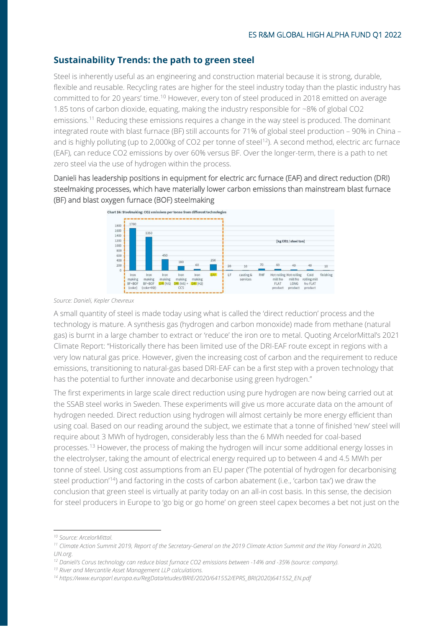# **Sustainability Trends: the path to green steel**

Steel is inherently useful as an engineering and construction material because it is strong, durable, flexible and reusable. Recycling rates are higher for the steel industry today than the plastic industry has committed to for 20 years' time.[10](#page-11-0) However, every ton of steel produced in 2018 emitted on average 1.85 tons of carbon dioxide, equating, making the industry responsible for ~8% of global CO2 emissions.<sup>[11](#page-11-1)</sup> Reducing these emissions requires a change in the way steel is produced. The dominant integrated route with blast furnace (BF) still accounts for 71% of global steel production – 90% in China – and is highly polluting (up to 2,000kg of CO2 per tonne of steel<sup>[12](#page-11-2)</sup>). A second method, electric arc furnace (EAF), can reduce CO2 emissions by over 60% versus BF. Over the longer-term, there is a path to net zero steel via the use of hydrogen within the process.

Danieli has leadership positions in equipment for electric arc furnace (EAF) and direct reduction (DRI) steelmaking processes, which have materially lower carbon emissions than mainstream blast furnace (BF) and blast oxygen furnace (BOF) steelmaking



#### *Source: Danieli, Kepler Chevreux*

A small quantity of steel is made today using what is called the 'direct reduction' process and the technology is mature. A synthesis gas (hydrogen and carbon monoxide) made from methane (natural gas) is burnt in a large chamber to extract or 'reduce' the iron ore to metal. Quoting ArcelorMittal's 2021 Climate Report: "Historically there has been limited use of the DRI-EAF route except in regions with a very low natural gas price. However, given the increasing cost of carbon and the requirement to reduce emissions, transitioning to natural-gas based DRI-EAF can be a first step with a proven technology that has the potential to further innovate and decarbonise using green hydrogen."

The first experiments in large scale direct reduction using pure hydrogen are now being carried out at the SSAB steel works in Sweden. These experiments will give us more accurate data on the amount of hydrogen needed. Direct reduction using hydrogen will almost certainly be more energy efficient than using coal. Based on our reading around the subject, we estimate that a tonne of finished 'new' steel will require about 3 MWh of hydrogen, considerably less than the 6 MWh needed for coal-based processes.[13](#page-11-3) However, the process of making the hydrogen will incur some additional energy losses in the electrolyser, taking the amount of electrical energy required up to between 4 and 4.5 MWh per tonne of steel. Using cost assumptions from an EU paper ('The potential of hydrogen for decarbonising steel production<sup>'[14](#page-11-4)</sup>) and factoring in the costs of carbon abatement (i.e., 'carbon tax') we draw the conclusion that green steel is virtually at parity today on an all-in cost basis. In this sense, the decision for steel producers in Europe to 'go big or go home' on green steel capex becomes a bet not just on the

<span id="page-11-0"></span>*<sup>10</sup> Source: ArcelorMittal.*

<span id="page-11-1"></span>*<sup>11</sup> Climate Action Summit 2019, Report of the Secretary-General on the 2019 Climate Action Summit and the Way Forward in 2020, UN.org.* 

<span id="page-11-2"></span>*<sup>12</sup> Danieli's Corus technology can reduce blast furnace CO2 emissions between -14% and -35% (source: company).*

<span id="page-11-3"></span>*<sup>13</sup> River and Mercantile Asset Management LLP calculations.*

<span id="page-11-4"></span>*<sup>14</sup> https://www.europarl.europa.eu/RegData/etudes/BRIE/2020/641552/EPRS\_BRI(2020)641552\_EN.pdf*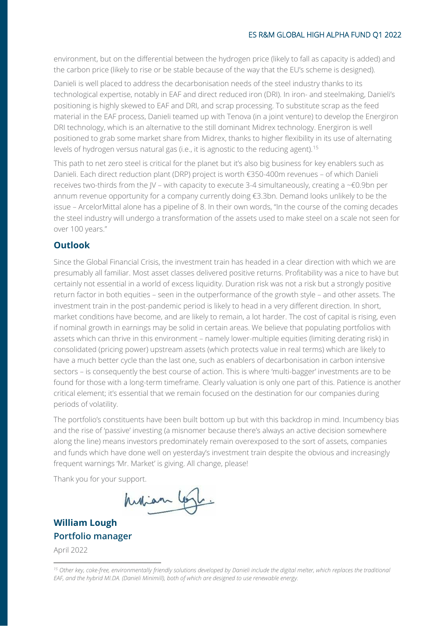# ES R&M GLOBAL HIGH ALPHA FUND Q1 2022

environment, but on the differential between the hydrogen price (likely to fall as capacity is added) and the carbon price (likely to rise or be stable because of the way that the EU's scheme is designed).

Danieli is well placed to address the decarbonisation needs of the steel industry thanks to its technological expertise, notably in EAF and direct reduced iron (DRI). In iron- and steelmaking, Danieli's positioning is highly skewed to EAF and DRI, and scrap processing. To substitute scrap as the feed material in the EAF process, Danieli teamed up with Tenova (in a joint venture) to develop the Energiron DRI technology, which is an alternative to the still dominant Midrex technology. Energiron is well positioned to grab some market share from Midrex, thanks to higher flexibility in its use of alternating levels of hydrogen versus natural gas (i.e., it is agnostic to the reducing agent).<sup>[15](#page-12-0)</sup>

This path to net zero steel is critical for the planet but it's also big business for key enablers such as Danieli. Each direct reduction plant (DRP) project is worth €350-400m revenues – of which Danieli receives two-thirds from the  $|V - w$ th capacity to execute 3-4 simultaneously, creating a ~ $\epsilon$ 0.9bn per annum revenue opportunity for a company currently doing  $\xi$ 3.3bn. Demand looks unlikely to be the issue – ArcelorMittal alone has a pipeline of 8. In their own words, "In the course of the coming decades the steel industry will undergo a transformation of the assets used to make steel on a scale not seen for over 100 years."

# **Outlook**

Since the Global Financial Crisis, the investment train has headed in a clear direction with which we are presumably all familiar. Most asset classes delivered positive returns. Profitability was a nice to have but certainly not essential in a world of excess liquidity. Duration risk was not a risk but a strongly positive return factor in both equities – seen in the outperformance of the growth style – and other assets. The investment train in the post-pandemic period is likely to head in a very different direction. In short, market conditions have become, and are likely to remain, a lot harder. The cost of capital is rising, even if nominal growth in earnings may be solid in certain areas. We believe that populating portfolios with assets which can thrive in this environment – namely lower-multiple equities (limiting derating risk) in consolidated (pricing power) upstream assets (which protects value in real terms) which are likely to have a much better cycle than the last one, such as enablers of decarbonisation in carbon intensive sectors – is consequently the best course of action. This is where 'multi-bagger' investments are to be found for those with a long-term timeframe. Clearly valuation is only one part of this. Patience is another critical element; it's essential that we remain focused on the destination for our companies during periods of volatility.

The portfolio's constituents have been built bottom up but with this backdrop in mind. Incumbency bias and the rise of 'passive' investing (a misnomer because there's always an active decision somewhere along the line) means investors predominately remain overexposed to the sort of assets, companies and funds which have done well on yesterday's investment train despite the obvious and increasingly frequent warnings 'Mr. Market' is giving. All change, please!

Thank you for your support.

hubian legl.

# **William Lough Portfolio manager**

April 2022

<span id="page-12-0"></span>*<sup>15</sup> Other key, coke-free, environmentally friendly solutions developed by Danieli include the digital melter, which replaces the traditional EAF, and the hybrid MI.DA. (Danieli Minimill), both of which are designed to use renewable energy.*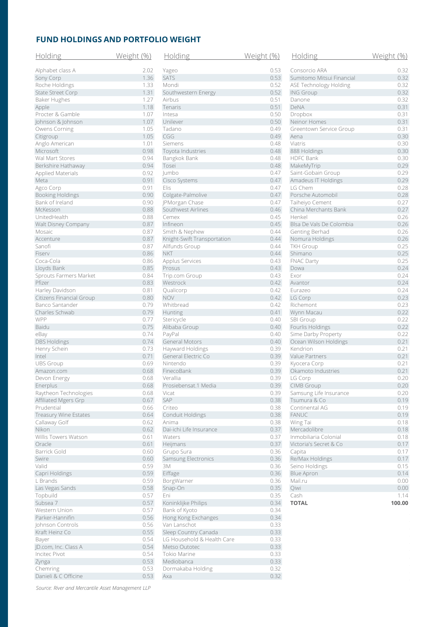# **FUND HOLDINGS AND PORTFOLIO WEIGHT**

| Holding                  | Weight (%)   | Holding                                 | Weight (%)   | <b>Holding</b>                    | Weight (%)                     |
|--------------------------|--------------|-----------------------------------------|--------------|-----------------------------------|--------------------------------|
| Alphabet class A         | 2.02         | Yageo                                   | 0.53         | Consorcio ARA                     | 0.32                           |
| Sony Corp                | 1.36         | <b>SATS</b>                             | 0.53         | Sumitomo Mitsui Financial         | 0.32                           |
| Roche Holdings           | 1.33         | Mondi                                   | 0.52         | ASE Technology Holding            | 0.32                           |
| <b>State Street Corp</b> | 1.31         | Southwestern Energy                     | 0.52         | <b>ING Group</b>                  | 0.32                           |
| Baker Hughes             | 1.27         | Airbus                                  | 0.51         | Danone                            | 0.32                           |
| Apple                    | 1.18         | Tenaris                                 | 0.51         | DeNA                              | 0.3'                           |
| Procter & Gamble         | 1.07         | Intesa                                  | 0.50         | Dropbox                           | 0.3'                           |
| Johnson & Johnson        | 1.07         | Unilever                                | 0.50         | Neinor Homes                      | 0.3'                           |
| Owens Corning            | 1.05         | Tadano                                  | 0.49         | Greentown Service Group           | 0.3'                           |
| Citigroup                | 1.05         | CGG                                     | 0.49         | Aena                              | 0.30                           |
| Anglo American           | 1.01         | Siemens                                 | 0.48         | Viatris                           | 0.30                           |
| Microsoft                | 0.98         | Toyota Industries                       | 0.48         | 888 Holdings                      | 0.30                           |
| Wal Mart Stores          | 0.94         | Bangkok Bank                            | 0.48         | HDFC Bank                         | 0.30                           |
| Berkshire Hathaway       | 0.94         | Tosei                                   | 0.48         | MakeMyTrip                        | 0.29                           |
| Applied Materials        | 0.92         | Jumbo                                   | 0.47         | Saint-Gobain Group                | 0.29                           |
| Meta                     | 0.91         | Cisco Systems                           | 0.47         | Amadeus IT Holdings               | 0.29                           |
| Agco Corp                | 0.91         | Elis                                    | 0.47         | LG Chem                           | 0.28                           |
| Booking Holdings         | 0.90         | Colgate-Palmolive                       | 0.47         | Porsche Automobil                 | 0.28                           |
| Bank of Ireland          | 0.90         | JPMorgan Chase                          | 0.47         | Taiheiyo Cement                   | 0.27                           |
| McKesson                 | 0.88         | Southwest Airlines                      | 0.46         | China Merchants Bank              | 0.27                           |
| UnitedHealth             | 0.88         | Cemex                                   | 0.45         | Henkel                            | 0.26                           |
| Walt Disney Company      | 0.87         | Infineon                                | 0.45         | Blsa De Vals De Colombia          | 0.26                           |
| Mosaic                   | 0.87         | Smith & Nephew                          | 0.44         | Genting Berhad                    | 0.26                           |
| Accenture                | 0.87         | Knight-Swift Transportation             | 0.44         | Nomura Holdings                   | 0.26                           |
| Sanofi                   | 0.87         | Allfunds Group                          | 0.44         | <b>TKH Group</b>                  | 0.25                           |
| Fiserv                   | 0.86         | NKT                                     | 0.44         | Shimano                           | 0.25                           |
| Coca-Cola                | 0.86         | Applus Services                         | 0.43         | <b>FNAC Darty</b>                 | 0.25                           |
| Lloyds Bank              | 0.85         | Prosus                                  | 0.43         | Dowa                              | 0.24                           |
| Sprouts Farmers Market   | 0.84         | Trip.com Group                          | 0.43         | Exor                              | 0.24                           |
| Pfizer                   | 0.83         | Westrock                                | 0.42         | Avantor                           | 0.24                           |
| Harley Davidson          | 0.81         | Qualicorp                               | 0.42         | Eurazeo                           | 0.24                           |
| Citizens Financial Group | 0.80         | <b>NOV</b>                              | 0.42         | LG Corp                           | 0.23                           |
| Banco Santander          | 0.79         | Whitbread                               | 0.42         | Richemont                         | 0.23                           |
| Charles Schwab           | 0.79         | Hunting                                 | 0.41         | Wynn Macau                        | 0.22                           |
| WPP                      | 0.77         | Stericycle                              | 0.40         | SBI Group                         | 0.22                           |
| Baidu                    | 0.75         | Alibaba Group                           | 0.40         | Fourlis Holdings                  | 0.22                           |
| eBay                     | 0.74         | PayPal                                  | 0.40         | Sime Darby Property               | 0.22                           |
| <b>DBS Holdings</b>      | 0.74<br>0.73 | General Motors                          | 0.40<br>0.39 | Ocean Wilson Holdings<br>Kendrion | $0.2^{\circ}$<br>$0.2^{\circ}$ |
| Henry Schein<br>Intel    | 0.71         | Hayward Holdings<br>General Electric Co | 0.39         | Value Partners                    | $0.2^{\circ}$                  |
| UBS Group                | 0.69         | Nintendo                                | 0.39         | Kyocera Corp                      | $0.2^{\circ}$                  |
| Amazon.com               | 0.68         | FinecoBank                              | 0.39         | Okamoto Industries                | $0.2^{\circ}$                  |
| Devon Energy             | 0.68         | Verallia                                | 0.39         | LG Corp                           | 0.20                           |
| Enerplus                 | 0.68         | Prosiebensat.1 Media                    | 0.39         | CIMB Group                        | 0.20                           |
| Raytheon Technologies    | 0.68         | Vicat                                   | 0.39         | Samsung Life Insurance            | 0.20                           |
| Affiliated Mgers Grp     | 0.67         | SAP                                     | 0.38         | Tsumura & Co                      | 0.19                           |
| Prudential               | 0.66         | Criteo                                  | 0.38         | Continental AG                    | 0.19                           |
| Treasury Wine Estates    | 0.64         | Conduit Holdings                        | 0.38         | <b>FANUC</b>                      | 0.19                           |
| Callaway Golf            | 0.62         | Anima                                   | 0.38         | Wing Tai                          | 0.18                           |
| Nikon                    | 0.62         | Dai-ichi Life Insurance                 | 0.37         | Mercadolibre                      | 0.18                           |
| Willis Towers Watson     | 0.61         | Waters                                  | 0.37         | Inmobiliaria Colonial             | 0.18                           |
| Oracle                   | 0.61         | Heijmans                                | 0.37         | Victoria's Secret & Co            | 0.17                           |
| Barrick Gold             | 0.60         | Grupo Sura                              | 0.36         | Capita                            | 0.17                           |
| Swire                    | 0.60         | Samsung Electronics                     | 0.36         | Re/Max Holdings                   | 0.17                           |
| Valid                    | 0.59         | ЗM                                      | 0.36         | Seino Holdings                    | 0.15                           |
| Capri Holdings           | 0.59         | Eiffage                                 | 0.36         | <b>Blue Apron</b>                 | 0.14                           |
| L Brands                 | 0.59         | BorgWarner                              | 0.36         | Mail.ru                           | 0.00                           |
| Las Vegas Sands          | 0.58         | Snap-On                                 | 0.35         | Qiwi                              | 0.00                           |
| Topbuild                 | 0.57         | Eni                                     | 0.35         | Cash                              | 1.14                           |
| Subsea 7                 | 0.57         | Koninklijke Philips                     | 0.34         | <b>TOTAL</b>                      | 100.00                         |
| Western Union            | 0.57         | Bank of Kyoto                           | 0.34         |                                   |                                |
| Parker-Hannifin          | 0.56         | Hong Kong Exchanges                     | 0.34         |                                   |                                |
| Johnson Controls         | 0.56         | Van Lanschot                            | 0.33         |                                   |                                |
| Kraft Heinz Co           | 0.55         | Sleep Country Canada                    | 0.33         |                                   |                                |
| Bayer                    | 0.54         | LG Household & Health Care              | 0.33         |                                   |                                |
| JD.com, Inc. Class A     | 0.54         | Metso Outotec                           | 0.33         |                                   |                                |
| Incitec Pivot            | 0.54         | Tokio Marine                            | 0.33         |                                   |                                |
| Zynga                    | 0.53         | Mediobanca                              | 0.33         |                                   |                                |
| Chemring                 | 0.53         | Dormakaba Holding                       | 0.32         |                                   |                                |
| Danieli & C Officine     | 0.53         | Axa                                     | 0.32         |                                   |                                |

| <u>Holding</u>                                     | <u> Weight (%)</u> |              |
|----------------------------------------------------|--------------------|--------------|
| Yageo                                              |                    | 0.53         |
| <b>SATS</b>                                        |                    | 0.53         |
| Mondi                                              |                    | 0.52         |
| Southwestern Energy                                |                    | 0.52         |
| Airbus                                             |                    | 0.51         |
| Tenaris                                            |                    | 0.51         |
| Intesa                                             |                    | 0.50         |
| Unilever<br>Tadano                                 |                    | 0.50<br>0.49 |
| CGG                                                |                    | 0.49         |
| Siemens                                            |                    | 0.48         |
| Toyota Industries                                  |                    | 0.48         |
| Bangkok Bank                                       |                    | 0.48         |
| Tosei                                              |                    | 0.48         |
| Jumbo                                              |                    | 0.47         |
| Cisco Systems                                      |                    | 0.47         |
| Elis<br>Colgate-Palmolive                          |                    | 0.47<br>0.47 |
| JPMorgan Chase                                     |                    | 0.47         |
| Southwest Airlines                                 |                    | 0.46         |
| Cemex                                              |                    | 0.45         |
| Infineon                                           |                    | 0.45         |
| Smith & Nephew                                     |                    | 0.44         |
| Knight-Swift Transportation                        |                    | 0.44         |
| Allfunds Group                                     |                    | 0.44         |
| <b>NKT</b><br>Applus Services                      |                    | 0.44<br>0.43 |
| Prosus                                             |                    | 0.43         |
| Trip.com Group                                     |                    | 0.43         |
| Westrock                                           |                    | 0.42         |
| Qualicorp                                          |                    | 0.42         |
| <b>NOV</b>                                         |                    | 0.42         |
| Whitbread                                          |                    | 0.42         |
| Hunting                                            |                    | 0.41         |
| Stericycle<br>Alibaba Group                        |                    | 0.40<br>0.40 |
| PayPal                                             |                    | 0.40         |
| General Motors                                     |                    | 0.40         |
| Hayward Holdings                                   |                    | 0.39         |
| General Electric Co                                |                    | 0.39         |
| Nintendo                                           |                    | 0.39         |
| FinecoBank                                         |                    | 0.39         |
| Verallia                                           |                    | 0.39         |
| Prosiebensat.1 Media<br>Vicat                      |                    | 0.39<br>0.39 |
| SAP                                                |                    | 0.38         |
| Criteo                                             |                    | 0.38         |
| Conduit Holdings                                   |                    | 0.38         |
| Anima                                              |                    | 0.38         |
| Dai-ichi Life Insurance                            |                    | 0.37         |
| Waters                                             |                    | 0.37         |
| Heijmans                                           |                    | 0.37         |
| Grupo Sura                                         |                    | 0.36<br>0.36 |
| Samsung Electronics<br>3M                          |                    | 0.36         |
| Eiffage                                            |                    | 0.36         |
| BorgWarner                                         |                    | 0.36         |
| Snap-On                                            |                    | 0.35         |
| Eni                                                |                    | 0.35         |
| Koninklijke Philips                                |                    | 0.34         |
| Bank of Kyoto                                      |                    | 0.34         |
| Hong Kong Exchanges                                |                    | 0.34         |
| Van Lanschot                                       |                    | 0.33<br>0.33 |
| Sleep Country Canada<br>LG Household & Health Care |                    | 0.33         |
| Metso Outotec                                      |                    | 0.33         |
| Tokio Marine                                       |                    | 0.33         |
| Mediobanca                                         |                    | 0.33         |
| Dormakaba Holding                                  |                    | 0.32         |
| Axa                                                |                    | 0.32         |

| Holding                   | <u>Weight (%)</u> |
|---------------------------|-------------------|
| Consorcio ARA             | 0.32              |
| Sumitomo Mitsui Financial | 0.32              |
| ASE Technology Holding    | 0.32              |
| <b>ING Group</b>          | 0.32              |
| Danone                    | 0.32              |
| DeNA                      | 0.31              |
| Dropbox                   | 0.31              |
| Neinor Homes              | 0.31              |
| Greentown Service Group   | 0.31              |
| Aena                      | 0.30              |
| Viatris<br>888 Holdings   | 0.30<br>0.30      |
| <b>HDFC Bank</b>          | 0.30              |
| MakeMyTrip                | 0.29              |
| Saint-Gobain Group        | 0.29              |
| Amadeus IT Holdings       | 0.29              |
| LG Chem                   | 0.28              |
| Porsche Automobil         | 0.28              |
| Taiheiyo Cement           | 0.27              |
| China Merchants Bank      | 0.27              |
| Henkel                    | 0.26              |
| Blsa De Vals De Colombia  | 0.26              |
| Genting Berhad            | 0.26              |
| Nomura Holdings           | 0.26              |
| <b>TKH Group</b>          | 0.25              |
| Shimano                   | 0.25              |
| <b>FNAC Darty</b>         | 0.25              |
| Dowa                      | 0.24              |
| Exor                      | 0.24              |
| Avantor                   | 0.24              |
| Eurazeo                   | 0.24<br>0.23      |
| LG Corp<br>Richemont      | 0.23              |
| Wynn Macau                | 0.22              |
| <b>SBI Group</b>          | 0.22              |
| Fourlis Holdings          | 0.22              |
| Sime Darby Property       | 0.22              |
| Ocean Wilson Holdings     | 0.21              |
| Kendrion                  | 0.21              |
| Value Partners            | 0.21              |
| Kyocera Corp              | 0.21              |
| Okamoto Industries        | 0.21              |
| LG Corp                   | 0.20              |
| CIMB Group                | 0.20              |
| Samsung Life Insurance    | 0.20              |
| Tsumura & Co              | 0.19              |
| Continental AG            | 0.19              |
| <b>FANUC</b>              | 0.19              |
| Wing Tai                  | 0.18              |
| Mercadolibre              | 0.18              |
| Inmobiliaria Colonial     | 0.18              |
| Victoria's Secret & Co    | 0.17              |
| Capita<br>Re/Max Holdings | 0.17<br>0.17      |
| Seino Holdings            | 0.15              |
| <b>Blue Apron</b>         | 0.14              |
| Mail.ru                   | 0.00              |
| Qiwi                      | 0.00              |
| Cash                      | 1.14              |
| <b>TOTAL</b>              | 100.00            |

*Source: River and Mercantile Asset Management LLP*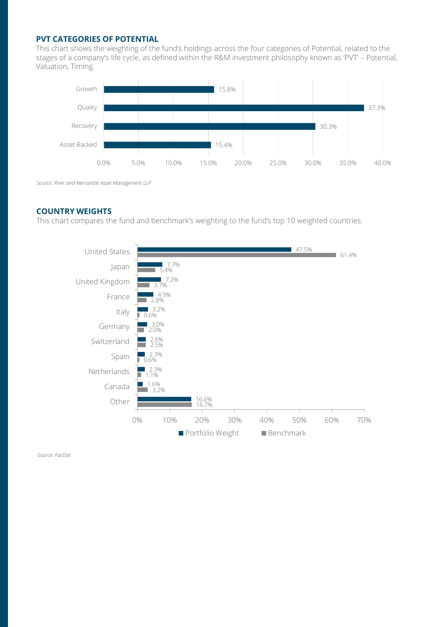#### **PVT CATEGORIES OF POTENTIAL**

This chart shows the weighting of the fund's holdings across the four categories of Potential, related to the stages of a company's life cycle, as defined within the R&M investment philosophy known as 'PVT' – Potential, Valuation, Timing.



*Source: River and Mercantile Asset Management LLP*

#### **COUNTRY WEIGHTS**

This chart compares the fund and benchmark's weighting to the fund's top 10 weighted countries.



*Source: FactSet*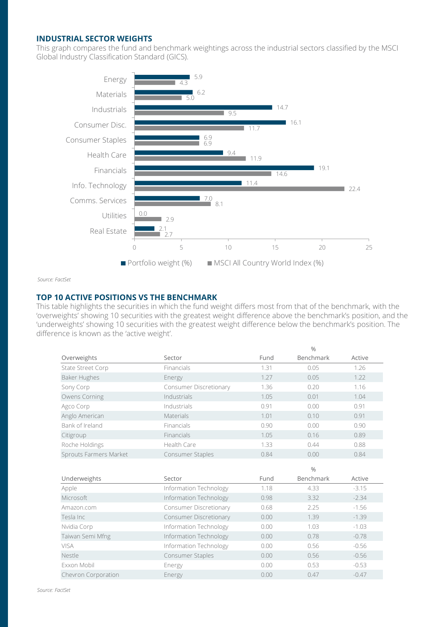#### **INDUSTRIAL SECTOR WEIGHTS**

This graph compares the fund and benchmark weightings across the industrial sectors classified by the MSCI Global Industry Classification Standard (GICS).



*Source: FactSet*

#### **TOP 10 ACTIVE POSITIONS VS THE BENCHMARK**

This table highlights the securities in which the fund weight differs most from that of the benchmark, with the 'overweights' showing 10 securities with the greatest weight difference above the benchmark's position, and the 'underweights' showing 10 securities with the greatest weight difference below the benchmark's position. The difference is known as the 'active weight'.

| Sector                 |      |                                                                              | Active            |
|------------------------|------|------------------------------------------------------------------------------|-------------------|
| Financials             |      | 0.05                                                                         | 1.26              |
| Energy                 |      | 0.05                                                                         | 1.22              |
| Consumer Discretionary |      | 0.20                                                                         | 1.16              |
| Industrials            |      | 0.01                                                                         | 1.04              |
| Industrials            |      | 0.00                                                                         | 0.91              |
| Materials              |      | 0.10                                                                         | 0.91              |
| Financials             |      | 0.00                                                                         | 0.90              |
| Financials             |      | 0.16                                                                         | 0.89              |
| Health Care            |      | 0.44                                                                         | 0.88              |
| Consumer Staples       | 0.84 | 0.00                                                                         | 0.84              |
|                        |      |                                                                              |                   |
|                        |      | $\frac{0}{0}$                                                                |                   |
| Sector                 | Fund | Benchmark                                                                    | Active            |
| Information Technology | 1.18 | 4.33                                                                         | $-3.15$           |
| Information Technology | 0.98 | 3.32                                                                         | $-2.34$           |
| Consumer Discretionary | 0.68 | 2.25                                                                         | $-1.56$           |
| Consumer Discretionary | 0.00 | 1.39                                                                         | $-1.39$           |
| Information Technology | 0.00 | 1.03                                                                         | $-1.03$           |
| Information Technology | 0.00 | 0.78                                                                         | $-0.78$           |
| Information Technology | 0.00 | 0.56                                                                         | $-0.56$           |
| Consumer Staples       | 0.00 | 0.56                                                                         | $-0.56$           |
| Energy                 | 0.00 | 0.53                                                                         | $-0.53$           |
|                        |      | Fund<br>1.31<br>1.27<br>1.36<br>1.05<br>0.91<br>1.01<br>0.90<br>1.05<br>1.33 | $\%$<br>Benchmark |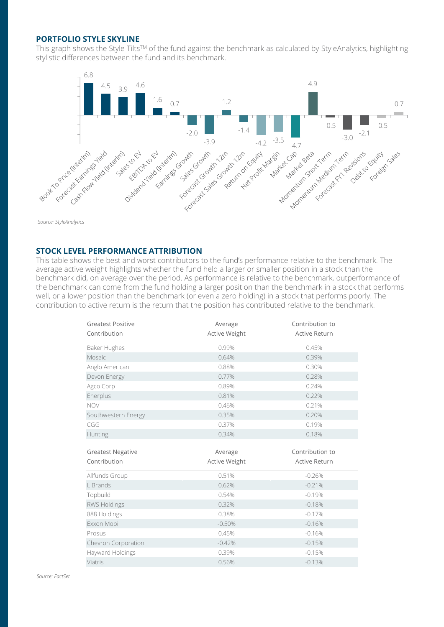#### **PORTFOLIO STYLE SKYLINE**

This graph shows the Style Tilts™ of the fund against the benchmark as calculated by StyleAnalytics, highlighting stylistic differences between the fund and its benchmark.



*Source: StyleAnalytics*

#### **STOCK LEVEL PERFORMANCE ATTRIBUTION**

This table shows the best and worst contributors to the fund's performance relative to the benchmark. The average active weight highlights whether the fund held a larger or smaller position in a stock than the benchmark did, on average over the period. As performance is relative to the benchmark, outperformance of the benchmark can come from the fund holding a larger position than the benchmark in a stock that performs well, or a lower position than the benchmark (or even a zero holding) in a stock that performs poorly. The contribution to active return is the return that the position has contributed relative to the benchmark.

| <b>Greatest Positive</b> | Average       | Contribution to      |
|--------------------------|---------------|----------------------|
| Contribution             | Active Weight | <b>Active Return</b> |
| Baker Hughes             | 0.99%         | 0.45%                |
| Mosaic                   | 0.64%         | 0.39%                |
| Anglo American           | 0.88%         | 0.30%                |
| Devon Energy             | 0.77%         | 0.28%                |
| Agco Corp                | 0.89%         | 0.24%                |
| Enerplus                 | 0.81%         | 0.22%                |
| <b>NOV</b>               | 0.46%         | 0.21%                |
| Southwestern Energy      | 0.35%         | 0.20%                |
| CGG                      | 0.37%         | 0.19%                |
| Hunting                  | 0.34%         | 0.18%                |
|                          |               |                      |
| <b>Greatest Negative</b> | Average       | Contribution to      |
| Contribution             | Active Weight | <b>Active Return</b> |
| Allfunds Group           | 0.51%         | $-0.26%$             |
| L Brands                 | 0.62%         | $-0.21%$             |
| Topbuild                 | 0.54%         | $-0.19%$             |
| <b>RWS Holdings</b>      | 0.32%         | $-0.18%$             |
| 888 Holdings             | 0.38%         | $-0.17%$             |
| Exxon Mobil              | $-0.50%$      | $-0.16%$             |
| Prosus                   | 0.45%         | $-0.16%$             |
| Chevron Corporation      | $-0.42%$      | $-0.15%$             |
| Hayward Holdings         | 0.39%         | $-0.15%$             |
| Viatris                  | 0.56%         | $-0.13%$             |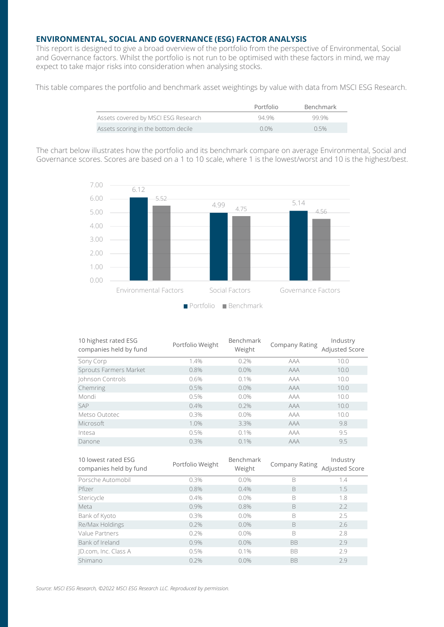#### **ENVIRONMENTAL, SOCIAL AND GOVERNANCE (ESG) FACTOR ANALYSIS**

This report is designed to give a broad overview of the portfolio from the perspective of Environmental, Social and Governance factors. Whilst the portfolio is not run to be optimised with these factors in mind, we may expect to take major risks into consideration when analysing stocks.

This table compares the portfolio and benchmark asset weightings by value with data from MSCI ESG Research.

|                                     | Portfolio | Benchmark |
|-------------------------------------|-----------|-----------|
| Assets covered by MSCI ESG Research | 94 9%     | 99 9%     |
| Assets scoring in the bottom decile | $0.0\%$   | 0.5%      |

The chart below illustrates how the portfolio and its benchmark compare on average Environmental, Social and Governance scores. Scores are based on a 1 to 10 scale, where 1 is the lowest/worst and 10 is the highest/best.



| 10 highest rated ESG<br>companies held by fund | Portfolio Weight | Benchmark<br>Weight | Company Rating | Industry<br>Adjusted Score |
|------------------------------------------------|------------------|---------------------|----------------|----------------------------|
| Sony Corp                                      | 1.4%             | 0.2%                | <b>AAA</b>     | 10.0                       |
| Sprouts Farmers Market                         | 0.8%             | $0.0\%$             | <b>AAA</b>     | 10.0                       |
| Johnson Controls                               | 0.6%             | 0.1%                | <b>AAA</b>     | 10.0                       |
| Chemring                                       | 0.5%             | $0.0\%$             | <b>AAA</b>     | 10.0                       |
| Mondi                                          | 0.5%             | 0.0%                | <b>AAA</b>     | 10.0                       |
| <b>SAP</b>                                     | 0.4%             | 0.2%                | <b>AAA</b>     | 10.0                       |
| Metso Outotec                                  | 0.3%             | $0.0\%$             | <b>AAA</b>     | 10.0                       |
| Microsoft                                      | 1.0%             | 3.3%                | AAA            | 9.8                        |
| Intesa                                         | 0.5%             | 0.1%                | <b>AAA</b>     | 9.5                        |
| Danone                                         | 0.3%             | 0.1%                | <b>AAA</b>     | 9.5                        |

| 10 lowest rated ESG<br>companies held by fund | Portfolio Weight | Benchmark<br>Weight | <b>Company Rating</b> | Industry<br>Adjusted Score |
|-----------------------------------------------|------------------|---------------------|-----------------------|----------------------------|
| Porsche Automobil                             | 0.3%             | $0.0\%$             | B                     | 1.4                        |
| Pfizer                                        | 0.8%             | 0.4%                | B                     | 1.5                        |
| Stericycle                                    | 0.4%             | $0.0\%$             | B                     | 1.8                        |
| Meta                                          | 0.9%             | 0.8%                | B                     | 2.2                        |
| Bank of Kyoto                                 | 0.3%             | $0.0\%$             | B                     | 2.5                        |
| Re/Max Holdings                               | 0.2%             | $0.0\%$             | B                     | 2.6                        |
| Value Partners                                | 0.2%             | $0.0\%$             | B                     | 2.8                        |
| Bank of Ireland                               | 0.9%             | $0.0\%$             | <b>BB</b>             | 2.9                        |
| ID.com, Inc. Class A                          | 0.5%             | 0.1%                | <b>BB</b>             | 2.9                        |
| Shimano                                       | 0.2%             | $0.0\%$             | <b>BB</b>             | 2.9                        |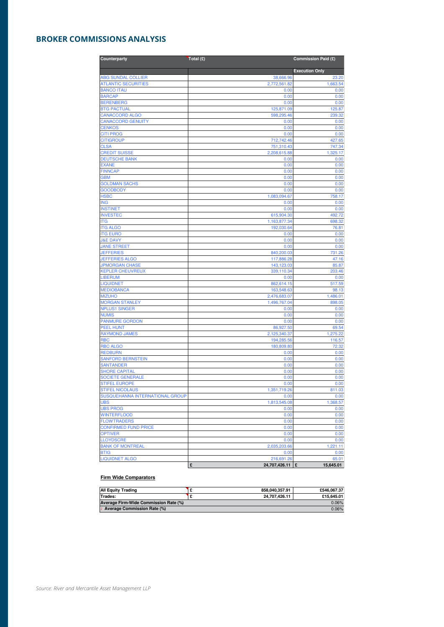# **BROKER COMMISSIONS ANALYSIS**

| Counterparty                               | Total (£)              | Commission Paid (£)   |
|--------------------------------------------|------------------------|-----------------------|
|                                            |                        | <b>Execution Only</b> |
| <b>ABG SUNDAL COLLIER</b>                  | 38,666.96              | 23.20                 |
| <b>ATLANTIC SECURITIES</b>                 | 2,772,561.82           | 1,663.54              |
| <b>BANCO ITAU</b>                          | 0.00                   | 0.00                  |
| <b>BARCAP</b>                              | 0.00                   | 0.00                  |
| <b>BERENBERG</b>                           | 0.00                   | 0.00                  |
| <b>BTG PACTUAL</b>                         | 125,871.09             | 125.87                |
| <b>CANACCORD ALGO</b>                      | 598,295.46             | 239.32                |
| <b>CANACCORD GENUITY</b>                   | 0.00                   | 0.00                  |
| <b>CENKOS</b>                              | 0.00                   | 0.00                  |
| <b>CITI PROG</b>                           | 0.00                   | 0.00                  |
| <b>CITIGROUP</b>                           | 712,742.46             | 427.65                |
| <b>CLSA</b>                                | 751,310.43             | 747.34                |
| <b>CREDIT SUISSE</b>                       | 2,208,615.88           | 1,325.17              |
| <b>DEUTSCHE BANK</b>                       | 0.00                   | 0.00                  |
| <b>EXANE</b>                               | 0.00                   | 0.00                  |
| <b>FINNCAP</b><br><b>GBM</b>               | 0.00                   | 0.00                  |
|                                            | 0.00<br>0.00           | 0.00                  |
| <b>GOLDMAN SACHS</b><br><b>GOODBODY</b>    | 0.00                   | 0.00<br>0.00          |
| <b>HSBC</b>                                | 1,083,094.67           | 758.17                |
| <b>ING</b>                                 | 0.00                   | 0.00                  |
| <b>INSTINET</b>                            | 0.00                   | 0.00                  |
| <b>INVESTEC</b>                            | 615,904.30             | 492.72                |
| <b>ITG</b>                                 | 1,163,877.34           | 698.32                |
| <b>ITG ALGO</b>                            | 192,030.64             | 76.81                 |
| <b>ITG EURO</b>                            | 0.00                   | 0.00                  |
| <b>J&amp;E DAVY</b>                        | 0.00                   | 0.00                  |
| <b>JANE STREET</b>                         | 0.00                   | 0.00                  |
| <b>JEFFERIES</b>                           | 840,200.03             | 731.26                |
| <b>JEFFERIES ALGO</b>                      | 117,886.28             | 47.16                 |
| <b>JPMORGAN CHASE</b>                      | 143,123.03             | 85.87                 |
| <b>KEPLER CHEUVREUX</b>                    | 339,110.34             | 203.46                |
| <b>LIBERUM</b>                             | 0.00                   | 0.00                  |
| <b>LIQUIDNET</b>                           | 862,614.15             | 517.59                |
| <b>MEDIOBANCA</b>                          | 163,548.63             | 98.13                 |
| <b>MIZUHO</b>                              | 2,476,683.07           | 1,486.01              |
| <b>MORGAN STANLEY</b>                      | 1,496,767.04           | 898.05                |
| <b>NPLUS1 SINGER</b>                       | 0.00                   | 0.00                  |
| <b>NUMIS</b>                               | 0.00                   | 0.00                  |
| <b>PANMURE GORDON</b>                      | 0.00                   | 0.00                  |
| <b>PEEL HUNT</b>                           | 86,927.50              | 69.54                 |
| <b>RAYMOND JAMES</b>                       | 2,125,340.37           | 1,275.22              |
| <b>RBC</b>                                 | 194,285.56             | 116.57                |
| <b>RBC ALGO</b>                            | 180,809.80             | 72.32                 |
| <b>REDBURN</b><br><b>SANFORD BERNSTEIN</b> | 0.00                   | 0.00                  |
| <b>SANTANDER</b>                           | 0.00<br>0.00           | 0.00<br>0.00          |
| <b>SHORE CAPITAL</b>                       | 0.00                   | 0.00                  |
| <b>SOCIETE GENERALE</b>                    | 0.00                   | 0.00                  |
| <b>STIFEL EUROPE</b>                       | 0.00                   | 0.00                  |
| <b>STIFEL NICOLAUS</b>                     | 1,351,719.26           | 811.03                |
| SUSQUEHANNA INTERNATIONAL GROUP            | 0.00                   | 0.00                  |
| <b>UBS</b>                                 | 1,813,545.08           | 1,368.57              |
| <b>UBS PROG</b>                            | 0.00                   | 0.00                  |
| <b>WINTERFLOOD</b>                         | 0.00                   | 0.00                  |
| <b>FLOWTRADERS</b>                         | 0.00                   | 0.00                  |
| <b>CONFIRMED FUND PRICE</b>                | 0.00                   | 0.00                  |
| <b>OPTIVER</b>                             | 0.00                   | 0.00                  |
| <b>LLOYDSCRE</b>                           | 0.00                   | 0.00                  |
| <b>BANK OF MONTREAL</b>                    | 2,035,203.66           | 1,221.11              |
| <b>BTIG</b>                                | 0.00                   | 0.00                  |
| <b>LIQUIDNET ALGO</b>                      | 216,691.26             | 65.01                 |
|                                            | 24,707,426.11   £<br>£ | 15,645.01             |

#### **Firm Wide Comparators**

| <b>All Equity Trading</b>             |  | 858.040.357.91 | £546,067.37 |
|---------------------------------------|--|----------------|-------------|
| Trades:                               |  | 24.707.426.11  | £15,645,01  |
| Average Firm-Wide Commission Rate (%) |  | $0.06\%$       |             |
| : Average Commission Rate (%)         |  |                | $0.06\%$    |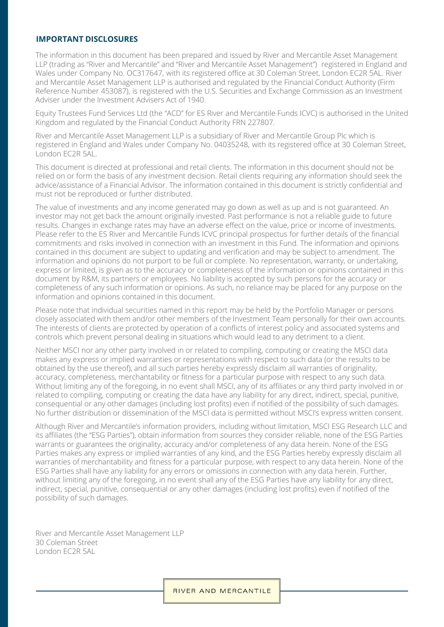#### **IMPORTANT DISCLOSURES**

The information in this document has been prepared and issued by River and Mercantile Asset Management LLP (trading as "River and Mercantile" and "River and Mercantile Asset Management") registered in England and Wales under Company No. OC317647, with its registered office at 30 Coleman Street, London EC2R 5AL. River and Mercantile Asset Management LLP is authorised and regulated by the Financial Conduct Authority (Firm Reference Number 453087), is registered with the U.S. Securities and Exchange Commission as an Investment Adviser under the Investment Advisers Act of 1940.

Equity Trustees Fund Services Ltd (the "ACD" for ES River and Mercantile Funds ICVC) is authorised in the United Kingdom and regulated by the Financial Conduct Authority FRN 227807.

River and Mercantile Asset Management LLP is a subsidiary of River and Mercantile Group Plc which is registered in England and Wales under Company No. 04035248, with its registered office at 30 Coleman Street, London EC2R 5AL.

This document is directed at professional and retail clients. The information in this document should not be relied on or form the basis of any investment decision. Retail clients requiring any information should seek the advice/assistance of a Financial Advisor. The information contained in this document is strictly confidential and must not be reproduced or further distributed.

The value of investments and any income generated may go down as well as up and is not guaranteed. An investor may not get back the amount originally invested. Past performance is not a reliable guide to future results. Changes in exchange rates may have an adverse effect on the value, price or income of investments. Please refer to the ES River and Mercantile Funds ICVC principal prospectus for further details of the financial commitments and risks involved in connection with an investment in this Fund. The information and opinions contained in this document are subject to updating and verification and may be subject to amendment. The information and opinions do not purport to be full or complete. No representation, warranty, or undertaking, express or limited, is given as to the accuracy or completeness of the information or opinions contained in this document by R&M, its partners or employees. No liability is accepted by such persons for the accuracy or completeness of any such information or opinions. As such, no reliance may be placed for any purpose on the information and opinions contained in this document.

Please note that individual securities named in this report may be held by the Portfolio Manager or persons closely associated with them and/or other members of the Investment Team personally for their own accounts. The interests of clients are protected by operation of a conflicts of interest policy and associated systems and controls which prevent personal dealing in situations which would lead to any detriment to a client.

Neither MSCI nor any other party involved in or related to compiling, computing or creating the MSCI data makes any express or implied warranties or representations with respect to such data (or the results to be obtained by the use thereof), and all such parties hereby expressly disclaim all warranties of originality, accuracy, completeness, merchantability or fitness for a particular purpose with respect to any such data. Without limiting any of the foregoing, in no event shall MSCI, any of its affiliates or any third party involved in or related to compiling, computing or creating the data have any liability for any direct, indirect, special, punitive, consequential or any other damages (including lost profits) even if notified of the possibility of such damages. No further distribution or dissemination of the MSCI data is permitted without MSCI's express written consent.

Although River and Mercantile's information providers, including without limitation, MSCI ESG Research LLC and its affiliates (the "ESG Parties"), obtain information from sources they consider reliable, none of the ESG Parties warrants or guarantees the originality, accuracy and/or completeness of any data herein. None of the ESG Parties makes any express or implied warranties of any kind, and the ESG Parties hereby expressly disclaim all warranties of merchantability and fitness for a particular purpose, with respect to any data herein. None of the ESG Parties shall have any liability for any errors or omissions in connection with any data herein. Further, without limiting any of the foregoing, in no event shall any of the ESG Parties have any liability for any direct, indirect, special, punitive, consequential or any other damages (including lost profits) even if notified of the possibility of such damages.

River and Mercantile Asset Management LLP 30 Coleman Street London EC2R 5AL